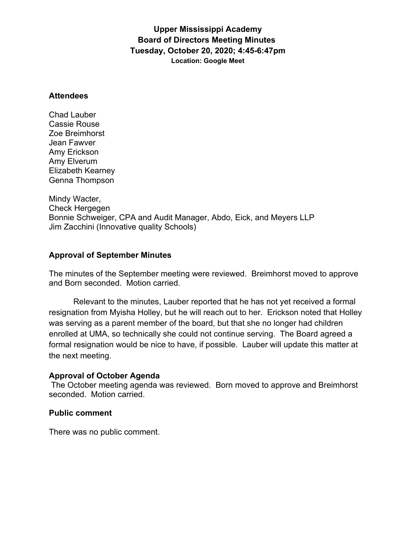**Upper Mississippi Academy Board of Directors Meeting Minutes Tuesday, October 20, 2020; 4:45-6:47pm Location: Google Meet**

### **Attendees**

Chad Lauber Cassie Rouse Zoe Breimhorst Jean Fawver Amy Erickson Amy Elverum Elizabeth Kearney Genna Thompson

Mindy Wacter, Check Hergegen Bonnie Schweiger, CPA and Audit Manager, Abdo, Eick, and Meyers LLP Jim Zacchini (Innovative quality Schools)

### **Approval of September Minutes**

The minutes of the September meeting were reviewed. Breimhorst moved to approve and Born seconded. Motion carried.

Relevant to the minutes, Lauber reported that he has not yet received a formal resignation from Myisha Holley, but he will reach out to her. Erickson noted that Holley was serving as a parent member of the board, but that she no longer had children enrolled at UMA, so technically she could not continue serving. The Board agreed a formal resignation would be nice to have, if possible. Lauber will update this matter at the next meeting.

### **Approval of October Agenda**

 The October meeting agenda was reviewed. Born moved to approve and Breimhorst seconded. Motion carried.

### **Public comment**

There was no public comment.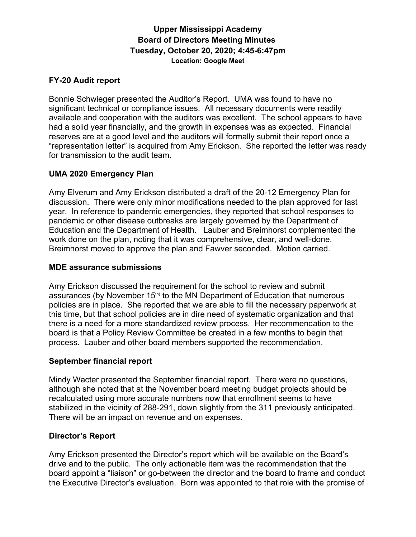# **Upper Mississippi Academy Board of Directors Meeting Minutes Tuesday, October 20, 2020; 4:45-6:47pm Location: Google Meet**

## **FY-20 Audit report**

Bonnie Schwieger presented the Auditor's Report. UMA was found to have no significant technical or compliance issues. All necessary documents were readily available and cooperation with the auditors was excellent. The school appears to have had a solid year financially, and the growth in expenses was as expected. Financial reserves are at a good level and the auditors will formally submit their report once a "representation letter" is acquired from Amy Erickson. She reported the letter was ready for transmission to the audit team.

## **UMA 2020 Emergency Plan**

Amy Elverum and Amy Erickson distributed a draft of the 20-12 Emergency Plan for discussion. There were only minor modifications needed to the plan approved for last year. In reference to pandemic emergencies, they reported that school responses to pandemic or other disease outbreaks are largely governed by the Department of Education and the Department of Health. Lauber and Breimhorst complemented the work done on the plan, noting that it was comprehensive, clear, and well-done. Breimhorst moved to approve the plan and Fawver seconded. Motion carried.

## **MDE assurance submissions**

Amy Erickson discussed the requirement for the school to review and submit assurances (by November 15th) to the MN Department of Education that numerous policies are in place. She reported that we are able to fill the necessary paperwork at this time, but that school policies are in dire need of systematic organization and that there is a need for a more standardized review process. Her recommendation to the board is that a Policy Review Committee be created in a few months to begin that process. Lauber and other board members supported the recommendation.

## **September financial report**

Mindy Wacter presented the September financial report. There were no questions, although she noted that at the November board meeting budget projects should be recalculated using more accurate numbers now that enrollment seems to have stabilized in the vicinity of 288-291, down slightly from the 311 previously anticipated. There will be an impact on revenue and on expenses.

## **Director's Report**

Amy Erickson presented the Director's report which will be available on the Board's drive and to the public. The only actionable item was the recommendation that the board appoint a "liaison" or go-between the director and the board to frame and conduct the Executive Director's evaluation. Born was appointed to that role with the promise of